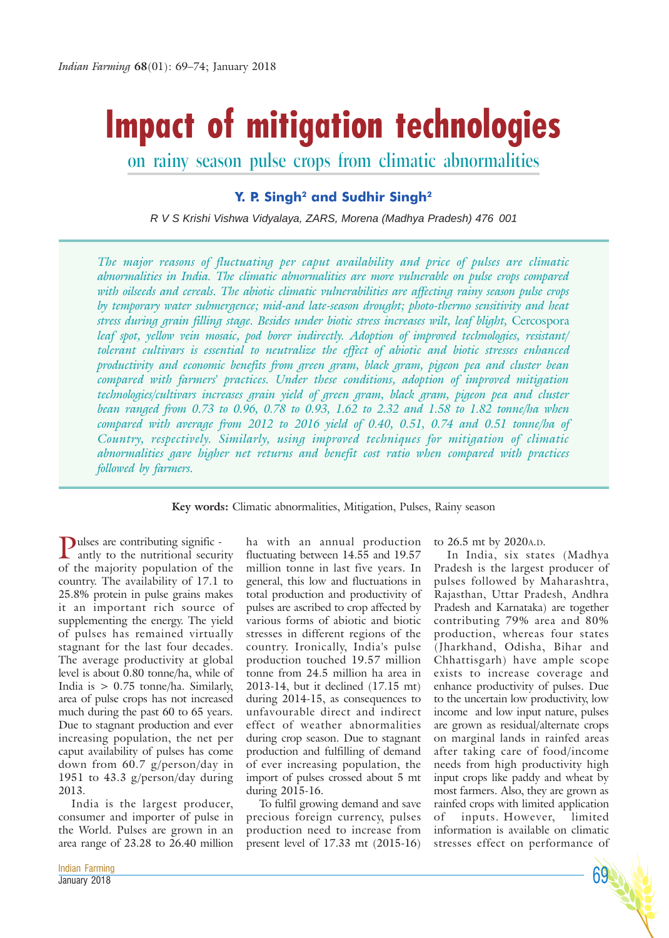# **Impact of mitigation technologies**

on rainy season pulse crops from climatic abnormalities

# **Y. P. Singh2 and Sudhir Singh2**

*R V S Krishi Vishwa Vidyalaya, ZARS, Morena (Madhya Pradesh) 476 001*

*The major reasons of fluctuating per caput availability and price of pulses are climatic abnormalities in India. The climatic abnormalities are more vulnerable on pulse crops compared with oilseeds and cereals. The abiotic climatic vulnerabilities are affecting rainy season pulse crops by temporary water submergence; mid-and late-season drought; photo-thermo sensitivity and heat stress during grain filling stage. Besides under biotic stress increases wilt, leaf blight,* Cercospora *leaf spot, yellow vein mosaic, pod borer indirectly. Adoption of improved technologies, resistant/ tolerant cultivars is essential to neutralize the effect of abiotic and biotic stresses enhanced productivity and economic benefits from green gram, black gram, pigeon pea and cluster bean compared with farmers' practices. Under these conditions, adoption of improved mitigation technologies/cultivars increases grain yield of green gram, black gram, pigeon pea and cluster bean ranged from 0.73 to 0.96, 0.78 to 0.93, 1.62 to 2.32 and 1.58 to 1.82 tonne/ha when compared with average from 2012 to 2016 yield of 0.40, 0.51, 0.74 and 0.51 tonne/ha of Country, respectively. Similarly, using improved techniques for mitigation of climatic abnormalities gave higher net returns and benefit cost ratio when compared with practices followed by farmers.*

## **Key words:** Climatic abnormalities, Mitigation, Pulses, Rainy season

Pulses are contributing signific - antly to the nutritional security of the majority population of the country. The availability of 17.1 to 25.8% protein in pulse grains makes it an important rich source of supplementing the energy. The yield of pulses has remained virtually stagnant for the last four decades. The average productivity at global level is about 0.80 tonne/ha, while of India is > 0.75 tonne/ha. Similarly, area of pulse crops has not increased much during the past 60 to 65 years. Due to stagnant production and ever increasing population, the net per caput availability of pulses has come down from 60.7 g/person/day in 1951 to 43.3 g/person/day during 2013.

India is the largest producer, consumer and importer of pulse in the World. Pulses are grown in an area range of 23.28 to 26.40 million ha with an annual production fluctuating between 14.55 and 19.57 million tonne in last five years. In general, this low and fluctuations in total production and productivity of pulses are ascribed to crop affected by various forms of abiotic and biotic stresses in different regions of the country. Ironically, India's pulse production touched 19.57 million tonne from 24.5 million ha area in 2013-14, but it declined (17.15 mt) during 2014-15, as consequences to unfavourable direct and indirect effect of weather abnormalities during crop season. Due to stagnant production and fulfilling of demand of ever increasing population, the import of pulses crossed about 5 mt during 2015-16.

To fulfil growing demand and save precious foreign currency, pulses production need to increase from present level of 17.33 mt (2015-16) to 26.5 mt by 2020A.D.

In India, six states (Madhya Pradesh is the largest producer of pulses followed by Maharashtra, Rajasthan, Uttar Pradesh, Andhra Pradesh and Karnataka) are together contributing 79% area and 80% production, whereas four states (Jharkhand, Odisha, Bihar and Chhattisgarh) have ample scope exists to increase coverage and enhance productivity of pulses. Due to the uncertain low productivity, low income and low input nature, pulses are grown as residual/alternate crops on marginal lands in rainfed areas after taking care of food/income needs from high productivity high input crops like paddy and wheat by most farmers. Also, they are grown as rainfed crops with limited application of inputs. However, limited information is available on climatic stresses effect on performance of

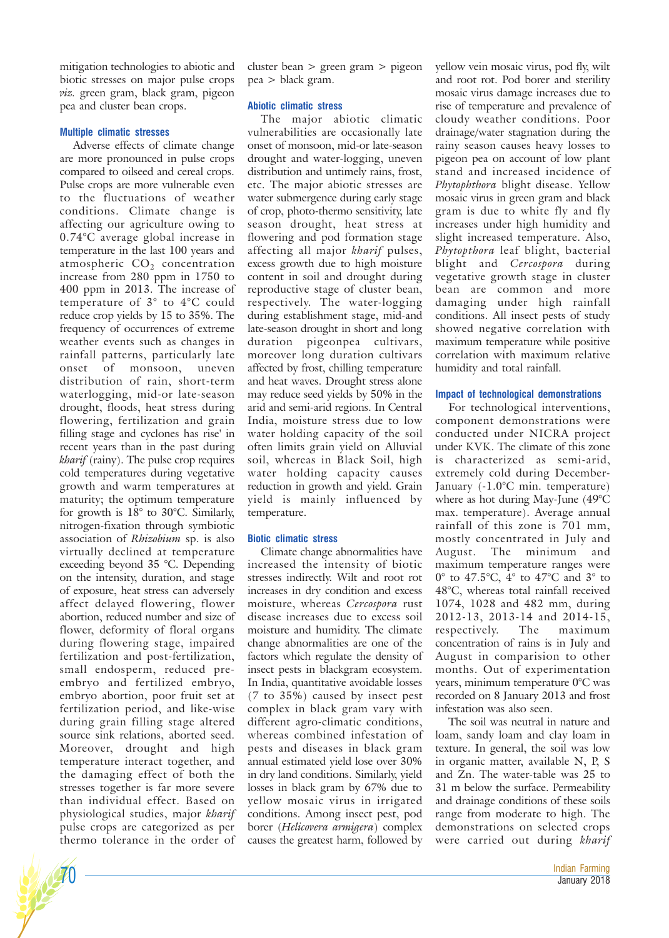mitigation technologies to abiotic and biotic stresses on major pulse crops *viz.* green gram, black gram, pigeon pea and cluster bean crops.

## **Multiple climatic stresses**

Adverse effects of climate change are more pronounced in pulse crops compared to oilseed and cereal crops. Pulse crops are more vulnerable even to the fluctuations of weather conditions. Climate change is affecting our agriculture owing to 0.74°C average global increase in temperature in the last 100 years and atmospheric  $CO<sub>2</sub>$  concentration increase from 280 ppm in 1750 to 400 ppm in 2013. The increase of temperature of 3° to 4°C could reduce crop yields by 15 to 35%. The frequency of occurrences of extreme weather events such as changes in rainfall patterns, particularly late onset of monsoon, uneven distribution of rain, short-term waterlogging, mid-or late-season drought, floods, heat stress during flowering, fertilization and grain filling stage and cyclones has rise' in recent years than in the past during *kharif* (rainy). The pulse crop requires cold temperatures during vegetative growth and warm temperatures at maturity; the optimum temperature for growth is  $18^\circ$  to 30°C. Similarly, nitrogen-fixation through symbiotic association of *Rhizobium* sp. is also virtually declined at temperature exceeding beyond 35 °C. Depending on the intensity, duration, and stage of exposure, heat stress can adversely affect delayed flowering, flower abortion, reduced number and size of flower, deformity of floral organs during flowering stage, impaired fertilization and post-fertilization, small endosperm, reduced preembryo and fertilized embryo, embryo abortion, poor fruit set at fertilization period, and like-wise during grain filling stage altered source sink relations, aborted seed. Moreover, drought and high temperature interact together, and the damaging effect of both the stresses together is far more severe than individual effect. Based on physiological studies, major *kharif* pulse crops are categorized as per thermo tolerance in the order of

cluster bean > green gram > pigeon pea > black gram.

## **Abiotic climatic stress**

The major abiotic climatic vulnerabilities are occasionally late onset of monsoon, mid-or late-season drought and water-logging, uneven distribution and untimely rains, frost, etc. The major abiotic stresses are water submergence during early stage of crop, photo-thermo sensitivity, late season drought, heat stress at flowering and pod formation stage affecting all major *kharif* pulses, excess growth due to high moisture content in soil and drought during reproductive stage of cluster bean, respectively. The water-logging during establishment stage, mid-and late-season drought in short and long duration pigeonpea cultivars, moreover long duration cultivars affected by frost, chilling temperature and heat waves. Drought stress alone may reduce seed yields by 50% in the arid and semi-arid regions. In Central India, moisture stress due to low water holding capacity of the soil often limits grain yield on Alluvial soil, whereas in Black Soil, high water holding capacity causes reduction in growth and yield. Grain yield is mainly influenced by temperature.

## **Biotic climatic stress**

Climate change abnormalities have increased the intensity of biotic stresses indirectly. Wilt and root rot increases in dry condition and excess moisture, whereas *Cercospora* rust disease increases due to excess soil moisture and humidity. The climate change abnormalities are one of the factors which regulate the density of insect pests in blackgram ecosystem. In India, quantitative avoidable losses (7 to 35%) caused by insect pest complex in black gram vary with different agro-climatic conditions, whereas combined infestation of pests and diseases in black gram annual estimated yield lose over 30% in dry land conditions. Similarly, yield losses in black gram by 67% due to yellow mosaic virus in irrigated conditions. Among insect pest, pod borer (*Helicovera armigera*) complex causes the greatest harm, followed by

yellow vein mosaic virus, pod fly, wilt and root rot. Pod borer and sterility mosaic virus damage increases due to rise of temperature and prevalence of cloudy weather conditions. Poor drainage/water stagnation during the rainy season causes heavy losses to pigeon pea on account of low plant stand and increased incidence of *Phytophthora* blight disease. Yellow mosaic virus in green gram and black gram is due to white fly and fly increases under high humidity and slight increased temperature. Also, *Phytopthora* leaf blight, bacterial blight and *Cercospora* during vegetative growth stage in cluster bean are common and more damaging under high rainfall conditions. All insect pests of study showed negative correlation with maximum temperature while positive correlation with maximum relative humidity and total rainfall.

## **Impact of technological demonstrations**

For technological interventions, component demonstrations were conducted under NICRA project under KVK. The climate of this zone is characterized as semi-arid, extremely cold during December-January (-1.0°C min. temperature) where as hot during May-June (49°C max. temperature). Average annual rainfall of this zone is 701 mm, mostly concentrated in July and August. The minimum and maximum temperature ranges were 0° to 47.5°C, 4° to 47°C and 3° to 48°C, whereas total rainfall received 1074, 1028 and 482 mm, during 2012-13, 2013-14 and 2014-15, respectively. The maximum concentration of rains is in July and August in comparision to other months. Out of experimentation years, minimum temperature 0°C was recorded on 8 January 2013 and frost infestation was also seen.

The soil was neutral in nature and loam, sandy loam and clay loam in texture. In general, the soil was low in organic matter, available N, P, S and Zn. The water-table was 25 to 31 m below the surface. Permeability and drainage conditions of these soils range from moderate to high. The demonstrations on selected crops were carried out during *kharif*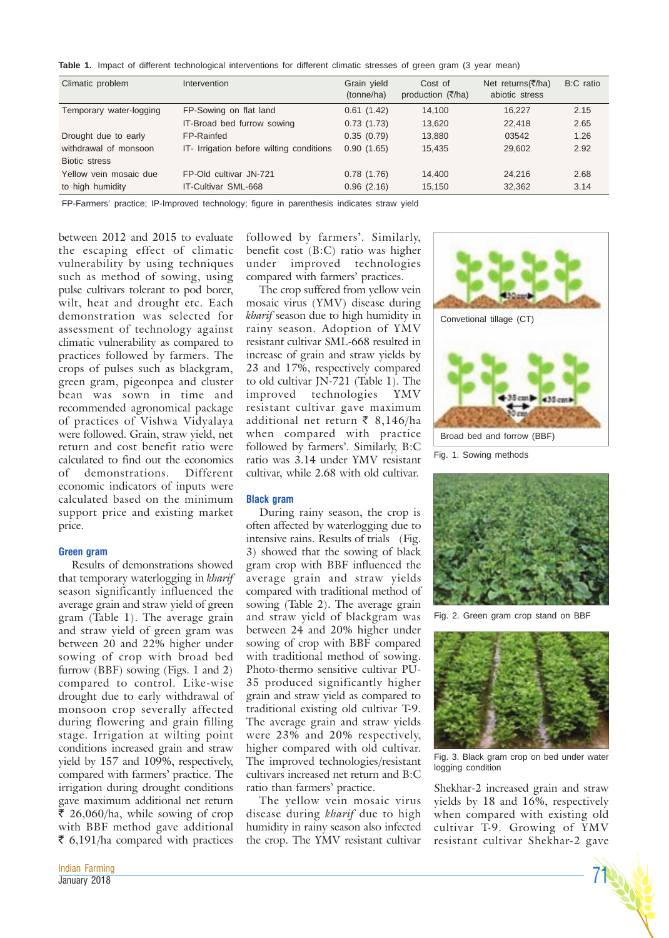**Table 1.** Impact of different technological interventions for different climatic stresses of green gram (3 year mean)

| Climatic problem        | Intervention                             | Grain yield<br>(tonne/ha) | Cost of<br>production (₹/ha) | Net returns(₹/ha)<br>abiotic stress | B:C ratio |
|-------------------------|------------------------------------------|---------------------------|------------------------------|-------------------------------------|-----------|
| Temporary water-logging | FP-Sowing on flat land                   | 0.61(1.42)                | 14.100                       | 16.227                              | 2.15      |
|                         | IT-Broad bed furrow sowing               | 0.73(1.73)                | 13,620                       | 22,418                              | 2.65      |
| Drought due to early    | FP-Rainfed                               | 0.35(0.79)                | 13,880                       | 03542                               | 1.26      |
| withdrawal of monsoon   | IT- Irrigation before wilting conditions | 0.90(1.65)                | 15.435                       | 29,602                              | 2.92      |
| Biotic stress           |                                          |                           |                              |                                     |           |
| Yellow vein mosaic due  | FP-Old cultivar JN-721                   | 0.78(1.76)                | 14.400                       | 24.216                              | 2.68      |
| to high humidity        | IT-Cultivar SML-668                      | 0.96(2.16)                | 15,150                       | 32,362                              | 3.14      |

FP-Farmers' practice; IP-Improved technology; figure in parenthesis indicates straw yield

between 2012 and 2015 to evaluate the escaping effect of climatic vulnerability by using techniques such as method of sowing, using pulse cultivars tolerant to pod borer, wilt, heat and drought etc. Each demonstration was selected for assessment of technology against climatic vulnerability as compared to practices followed by farmers. The crops of pulses such as blackgram, green gram, pigeonpea and cluster bean was sown in time and recommended agronomical package of practices of Vishwa Vidyalaya were followed. Grain, straw yield, net return and cost benefit ratio were calculated to find out the economics of demonstrations. Different economic indicators of inputs were calculated based on the minimum support price and existing market price.

#### **Green gram**

Results of demonstrations showed that temporary waterlogging in *kharif* season significantly influenced the average grain and straw yield of green gram (Table 1). The average grain and straw yield of green gram was between 20 and 22% higher under sowing of crop with broad bed furrow (BBF) sowing (Figs. 1 and 2) compared to control. Like-wise drought due to early withdrawal of monsoon crop severally affected during flowering and grain filling stage. Irrigation at wilting point conditions increased grain and straw yield by 157 and 109%, respectively, compared with farmers' practice. The irrigation during drought conditions gave maximum additional net return  $\bar{\xi}$  26,060/ha, while sowing of crop with BBF method gave additional  $\bar{\epsilon}$  6,191/ha compared with practices

followed by farmers'. Similarly, benefit cost (B:C) ratio was higher under improved technologies compared with farmers' practices.

The crop suffered from yellow vein mosaic virus (YMV) disease during *kharif* season due to high humidity in rainy season. Adoption of YMV resistant cultivar SML-668 resulted in increase of grain and straw yields by 23 and 17%, respectively compared to old cultivar JN-721 (Table 1). The improved technologies YMV resistant cultivar gave maximum additional net return  $\bar{\xi}$  8,146/ha when compared with practice followed by farmers'. Similarly, B:C ratio was 3.14 under YMV resistant cultivar, while 2.68 with old cultivar.

#### **Black gram**

During rainy season, the crop is often affected by waterlogging due to intensive rains. Results of trials (Fig. 3) showed that the sowing of black gram crop with BBF influenced the average grain and straw yields compared with traditional method of sowing (Table 2). The average grain and straw yield of blackgram was between 24 and 20% higher under sowing of crop with BBF compared with traditional method of sowing. Photo-thermo sensitive cultivar PU-35 produced significantly higher grain and straw yield as compared to traditional existing old cultivar T-9. The average grain and straw yields were 23% and 20% respectively, higher compared with old cultivar. The improved technologies/resistant cultivars increased net return and B:C ratio than farmers' practice.

The yellow vein mosaic virus disease during *kharif* due to high humidity in rainy season also infected the crop. The YMV resistant cultivar



Fig. 1. Sowing methods



Green gram crop stand on BBF



Fig. 3. Black gram crop on bed under water logging condition

Shekhar-2 increased grain and straw yields by 18 and 16%, respectively when compared with existing old cultivar T-9. Growing of YMV resistant cultivar Shekhar-2 gave

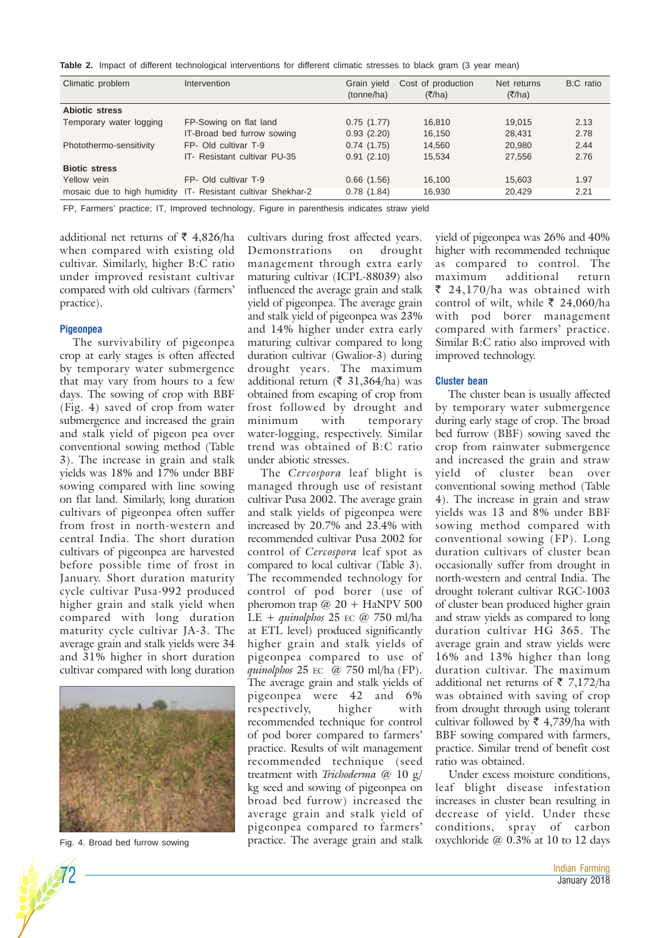**Table 2.** Impact of different technological interventions for different climatic stresses to black gram (3 year mean)

| Climatic problem            | Intervention                     | Grain yield<br>(tonne/ha) | Cost of production<br>(7/ha) | Net returns<br>(7/ha) | B:C ratio |
|-----------------------------|----------------------------------|---------------------------|------------------------------|-----------------------|-----------|
| <b>Abiotic stress</b>       |                                  |                           |                              |                       |           |
| Temporary water logging     | FP-Sowing on flat land           | 0.75(1.77)                | 16,810                       | 19.015                | 2.13      |
|                             | IT-Broad bed furrow sowing       | 0.93(2.20)                | 16,150                       | 28,431                | 2.78      |
| Photothermo-sensitivity     | FP- Old cultivar T-9             | 0.74(1.75)                | 14.560                       | 20,980                | 2.44      |
|                             | IT- Resistant cultivar PU-35     | 0.91(2.10)                | 15,534                       | 27,556                | 2.76      |
| <b>Biotic stress</b>        |                                  |                           |                              |                       |           |
| Yellow vein                 | FP- Old cultivar T-9             | 0.66(1.56)                | 16.100                       | 15,603                | 1.97      |
| mosaic due to high humidity | IT- Resistant cultivar Shekhar-2 | 0.78(1.84)                | 16,930                       | 20,429                | 2.21      |

FP, Farmers' practice; IT, Improved technology, Figure in parenthesis indicates straw yield

additional net returns of  $\bar{\bar{\xi}}$  4,826/ha when compared with existing old cultivar. Similarly, higher B:C ratio under improved resistant cultivar compared with old cultivars (farmers' practice).

#### **Pigeonpea**

The survivability of pigeonpea crop at early stages is often affected by temporary water submergence that may vary from hours to a few days. The sowing of crop with BBF (Fig. 4) saved of crop from water submergence and increased the grain and stalk yield of pigeon pea over conventional sowing method (Table 3). The increase in grain and stalk yields was 18% and 17% under BBF sowing compared with line sowing on flat land. Similarly, long duration cultivars of pigeonpea often suffer from frost in north-western and central India. The short duration cultivars of pigeonpea are harvested before possible time of frost in January. Short duration maturity cycle cultivar Pusa-992 produced higher grain and stalk yield when compared with long duration maturity cycle cultivar JA-3. The average grain and stalk yields were 34 and 31% higher in short duration cultivar compared with long duration



Fig. 4. Broad bed furrow sowing

cultivars during frost affected years. Demonstrations on drought management through extra early maturing cultivar (ICPL-88039) also influenced the average grain and stalk yield of pigeonpea. The average grain and stalk yield of pigeonpea was 23% and 14% higher under extra early maturing cultivar compared to long duration cultivar (Gwalior-3) during drought years. The maximum additional return ( $\bar{\xi}$  31,364/ha) was obtained from escaping of crop from frost followed by drought and minimum with temporary water-logging, respectively. Similar trend was obtained of B:C ratio under abiotic stresses.

The *Cercospora* leaf blight is managed through use of resistant cultivar Pusa 2002. The average grain and stalk yields of pigeonpea were increased by 20.7% and 23.4% with recommended cultivar Pusa 2002 for control of *Cercospora* leaf spot as compared to local cultivar (Table 3). The recommended technology for control of pod borer (use of pheromon trap @ 20 + HaNPV 500 LE + *quinolphos* 25 EC @ 750 ml/ha at ETL level) produced significantly higher grain and stalk yields of pigeonpea compared to use of *quinolphos* 25 EC @ 750 ml/ha (FP). The average grain and stalk yields of pigeonpea were 42 and 6% respectively, higher with recommended technique for control of pod borer compared to farmers' practice. Results of wilt management recommended technique (seed treatment with *Trichoderma* @ 10 g/ kg seed and sowing of pigeonpea on broad bed furrow) increased the average grain and stalk yield of pigeonpea compared to farmers' practice. The average grain and stalk

yield of pigeonpea was 26% and 40% higher with recommended technique as compared to control. The maximum additional return  $\bar{\xi}$  24,170/ha was obtained with control of wilt, while  $\bar{\xi}$  24,060/ha with pod borer management compared with farmers' practice. Similar B:C ratio also improved with improved technology.

#### **Cluster bean**

The cluster bean is usually affected by temporary water submergence during early stage of crop. The broad bed furrow (BBF) sowing saved the crop from rainwater submergence and increased the grain and straw yield of cluster bean over conventional sowing method (Table 4). The increase in grain and straw yields was 13 and 8% under BBF sowing method compared with conventional sowing (FP). Long duration cultivars of cluster bean occasionally suffer from drought in north-western and central India. The drought tolerant cultivar RGC-1003 of cluster bean produced higher grain and straw yields as compared to long duration cultivar HG 365. The average grain and straw yields were 16% and 13% higher than long duration cultivar. The maximum additional net returns of  $\bar{\tau}$  7,172/ha was obtained with saving of crop from drought through using tolerant cultivar followed by  $\bar{\xi}$  4,739/ha with BBF sowing compared with farmers, practice. Similar trend of benefit cost ratio was obtained.

Under excess moisture conditions, leaf blight disease infestation increases in cluster bean resulting in decrease of yield. Under these conditions, spray of carbon oxychloride @ 0.3% at 10 to 12 days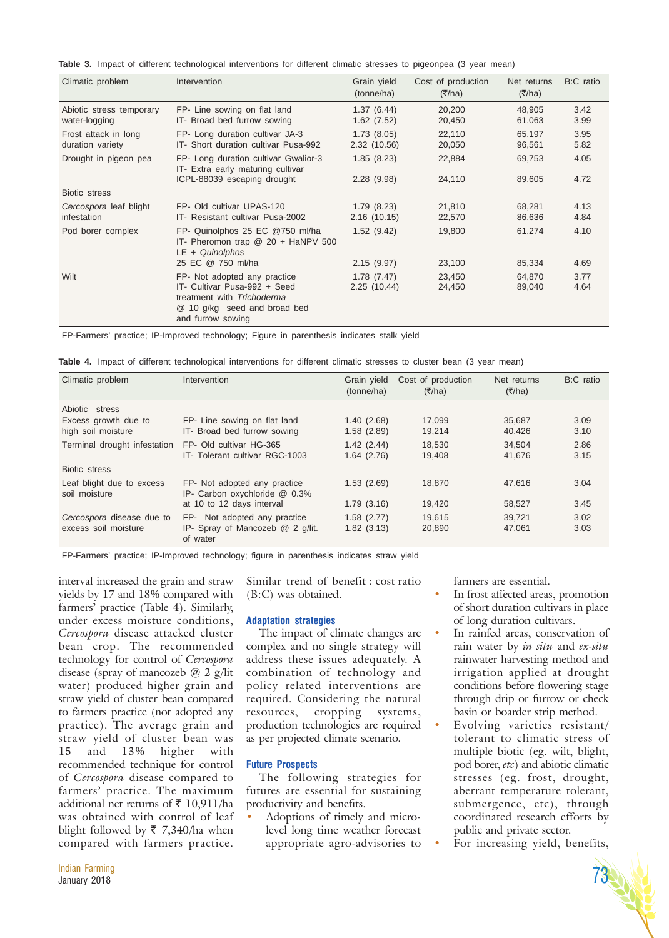|  |  |  |  | Table 3. Impact of different technological interventions for different climatic stresses to pigeonpea (3 year mean) |  |  |  |  |  |  |  |  |  |
|--|--|--|--|---------------------------------------------------------------------------------------------------------------------|--|--|--|--|--|--|--|--|--|
|--|--|--|--|---------------------------------------------------------------------------------------------------------------------|--|--|--|--|--|--|--|--|--|

| Climatic problem                          | Intervention                                                                                                                                                         | Grain yield<br>(tonne/ha)               | Cost of production<br>(π/ha) | Net returns<br>(7/ha)      | B:C ratio            |
|-------------------------------------------|----------------------------------------------------------------------------------------------------------------------------------------------------------------------|-----------------------------------------|------------------------------|----------------------------|----------------------|
| Abiotic stress temporary<br>water-logging | FP- Line sowing on flat land<br>IT- Broad bed furrow sowing                                                                                                          | 1.37(6.44)<br>1.62(7.52)                | 20,200<br>20,450             | 48,905<br>61,063           | 3.42<br>3.99         |
| Frost attack in long<br>duration variety  | FP- Long duration cultivar JA-3<br>IT- Short duration cultivar Pusa-992                                                                                              | 1.73(8.05)<br>2.32 (10.56)              | 22,110<br>20,050             | 65,197<br>96,561           | 3.95<br>5.82         |
| Drought in pigeon pea                     | FP- Long duration cultivar Gwalior-3<br>IT- Extra early maturing cultivar                                                                                            | 1.85(8.23)                              | 22,884                       | 69,753                     | 4.05                 |
| Biotic stress                             | ICPL-88039 escaping drought                                                                                                                                          | 2.28(9.98)                              | 24,110                       | 89,605                     | 4.72                 |
| Cercospora leaf blight<br>infestation     | FP- Old cultivar UPAS-120<br>IT- Resistant cultivar Pusa-2002                                                                                                        | 1.79(8.23)<br>2.16(10.15)               | 21,810<br>22,570             | 68,281<br>86,636           | 4.13<br>4.84         |
| Pod borer complex                         | FP- Quinolphos 25 EC @750 ml/ha<br>IT- Pheromon trap $@$ 20 + HaNPV 500<br>$LE + Quinolphos$                                                                         | 1.52(9.42)                              | 19,800                       | 61,274                     | 4.10                 |
| Wilt                                      | 25 EC @ 750 ml/ha<br>FP- Not adopted any practice<br>IT- Cultivar Pusa-992 + Seed<br>treatment with Trichoderma<br>@ 10 g/kg seed and broad bed<br>and furrow sowing | 2.15(9.97)<br>1.78(7.47)<br>2.25(10.44) | 23,100<br>23,450<br>24,450   | 85,334<br>64.870<br>89,040 | 4.69<br>3.77<br>4.64 |

FP-Farmers' practice; IP-Improved technology; Figure in parenthesis indicates stalk yield

|  |  |  |  | Table 4. Impact of different technological interventions for different climatic stresses to cluster bean (3 year mean) |  |  |  |  |  |  |  |  |  |  |  |
|--|--|--|--|------------------------------------------------------------------------------------------------------------------------|--|--|--|--|--|--|--|--|--|--|--|
|--|--|--|--|------------------------------------------------------------------------------------------------------------------------|--|--|--|--|--|--|--|--|--|--|--|

| Climatic problem                                  | Intervention                                                                 | Grain yield<br>(tonne/ha) | Cost of production<br>(7/ha) | Net returns<br>(π/ha) | B:C ratio    |
|---------------------------------------------------|------------------------------------------------------------------------------|---------------------------|------------------------------|-----------------------|--------------|
| Abiotic stress<br>Excess growth due to            | FP- Line sowing on flat land                                                 | 1.40(2.68)                | 17.099                       | 35.687                | 3.09         |
| high soil moisture                                | IT- Broad bed furrow sowing                                                  | 1.58(2.89)                | 19,214                       | 40,426                | 3.10         |
| Terminal drought infestation                      | FP- Old cultivar HG-365<br>IT- Tolerant cultivar RGC-1003                    | 1.42(2.44)<br>1.64(2.76)  | 18.530<br>19,408             | 34.504<br>41,676      | 2.86<br>3.15 |
| Biotic stress                                     |                                                                              |                           |                              |                       |              |
| Leaf blight due to excess<br>soil moisture        | FP- Not adopted any practice<br>IP- Carbon oxychloride @ 0.3%                | 1.53(2.69)                | 18,870                       | 47.616                | 3.04         |
|                                                   | at 10 to 12 days interval                                                    | 1.79(3.16)                | 19,420                       | 58,527                | 3.45         |
| Cercospora disease due to<br>excess soil moisture | FP- Not adopted any practice<br>IP- Spray of Mancozeb @ 2 q/lit.<br>of water | 1.58(2.77)<br>1.82(3.13)  | 19,615<br>20,890             | 39.721<br>47,061      | 3.02<br>3.03 |

FP-Farmers' practice; IP-Improved technology; figure in parenthesis indicates straw yield

interval increased the grain and straw yields by 17 and 18% compared with farmers' practice (Table 4). Similarly, under excess moisture conditions, *Cercospora* disease attacked cluster bean crop. The recommended technology for control of *Cercospora* disease (spray of mancozeb @ 2 g/lit water) produced higher grain and straw yield of cluster bean compared to farmers practice (not adopted any practice). The average grain and straw yield of cluster bean was 15 and 13% higher with recommended technique for control of *Cercospora* disease compared to farmers' practice. The maximum additional net returns of  $\bar{\tau}$  10,911/ha was obtained with control of leaf blight followed by  $\overline{\xi}$  7,340/ha when compared with farmers practice.

Similar trend of benefit : cost ratio (B:C) was obtained.

## **Adaptation strategies**

The impact of climate changes are complex and no single strategy will address these issues adequately. A combination of technology and policy related interventions are required. Considering the natural resources, cropping systems, production technologies are required as per projected climate scenario.

## **Future Prospects**

The following strategies for futures are essential for sustaining productivity and benefits.

Adoptions of timely and microlevel long time weather forecast appropriate agro-advisories to farmers are essential.

- In frost affected areas, promotion of short duration cultivars in place of long duration cultivars.
- In rainfed areas, conservation of rain water by *in situ* and *ex-situ* rainwater harvesting method and irrigation applied at drought conditions before flowering stage through drip or furrow or check basin or boarder strip method.
- Evolving varieties resistant/ tolerant to climatic stress of multiple biotic (eg. wilt, blight, pod borer, *etc*) and abiotic climatic stresses (eg. frost, drought, aberrant temperature tolerant, submergence, etc), through coordinated research efforts by public and private sector.
- For increasing yield, benefits,